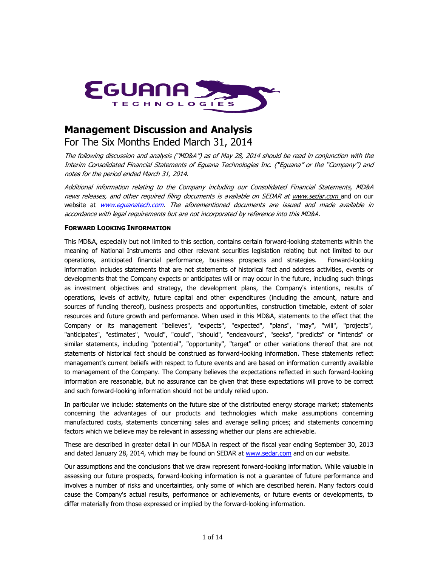

# **Management Discussion and Analysis**

For The Six Months Ended March 31, 2014

The following discussion and analysis ("MD&A") as of May 28, 2014 should be read in conjunction with the Interim Consolidated Financial Statements of Eguana Technologies Inc. ("Eguana" or the "Company") and notes for the period ended March 31, 2014.

Additional information relating to the Company including our Consolidated Financial Statements, MD&A news releases, and other required filing documents is available on SEDAR a[t www.sedar.com](http://www.sedar.com/) and on our website at **www.equanatech.com.** The aforementioned documents are issued and made available in accordance with legal requirements but are not incorporated by reference into this MD&A.

## **FORWARD LOOKING INFORMATION**

This MD&A, especially but not limited to this section, contains certain forward-looking statements within the meaning of National Instruments and other relevant securities legislation relating but not limited to our operations, anticipated financial performance, business prospects and strategies. Forward-looking information includes statements that are not statements of historical fact and address activities, events or developments that the Company expects or anticipates will or may occur in the future, including such things as investment objectives and strategy, the development plans, the Company's intentions, results of operations, levels of activity, future capital and other expenditures (including the amount, nature and sources of funding thereof), business prospects and opportunities, construction timetable, extent of solar resources and future growth and performance. When used in this MD&A, statements to the effect that the Company or its management "believes", "expects", "expected", "plans", "may", "will", "projects", "anticipates", "estimates", "would", "could", "should", "endeavours", "seeks", "predicts" or "intends" or similar statements, including "potential", "opportunity", "target" or other variations thereof that are not statements of historical fact should be construed as forward-looking information. These statements reflect management's current beliefs with respect to future events and are based on information currently available to management of the Company. The Company believes the expectations reflected in such forward-looking information are reasonable, but no assurance can be given that these expectations will prove to be correct and such forward-looking information should not be unduly relied upon.

In particular we include: statements on the future size of the distributed energy storage market; statements concerning the advantages of our products and technologies which make assumptions concerning manufactured costs, statements concerning sales and average selling prices; and statements concerning factors which we believe may be relevant in assessing whether our plans are achievable.

These are described in greater detail in our MD&A in respect of the fiscal year ending September 30, 2013 and dated January 28, 2014, which may be found on SEDAR at [www.sedar.com](http://www.sedar.com/) and on our website.

Our assumptions and the conclusions that we draw represent forward-looking information. While valuable in assessing our future prospects, forward-looking information is not a guarantee of future performance and involves a number of risks and uncertainties, only some of which are described herein. Many factors could cause the Company's actual results, performance or achievements, or future events or developments, to differ materially from those expressed or implied by the forward-looking information.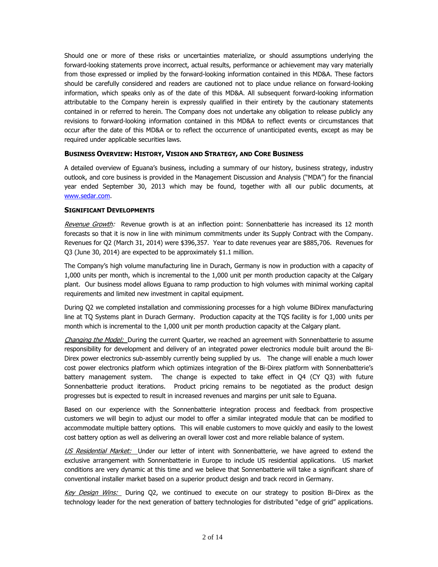Should one or more of these risks or uncertainties materialize, or should assumptions underlying the forward-looking statements prove incorrect, actual results, performance or achievement may vary materially from those expressed or implied by the forward-looking information contained in this MD&A. These factors should be carefully considered and readers are cautioned not to place undue reliance on forward-looking information, which speaks only as of the date of this MD&A. All subsequent forward-looking information attributable to the Company herein is expressly qualified in their entirety by the cautionary statements contained in or referred to herein. The Company does not undertake any obligation to release publicly any revisions to forward-looking information contained in this MD&A to reflect events or circumstances that occur after the date of this MD&A or to reflect the occurrence of unanticipated events, except as may be required under applicable securities laws.

## **BUSINESS OVERVIEW: HISTORY, VISION AND STRATEGY, AND CORE BUSINESS**

A detailed overview of Eguana's business, including a summary of our history, business strategy, industry outlook, and core business is provided in the Management Discussion and Analysis ("MDA") for the financial year ended September 30, 2013 which may be found, together with all our public documents, at [www.sedar.com.](http://www.sedar.com/)

## **SIGNIFICANT DEVELOPMENTS**

Revenue Growth: Revenue growth is at an inflection point: Sonnenbatterie has increased its 12 month forecasts so that it is now in line with minimum commitments under its Supply Contract with the Company. Revenues for Q2 (March 31, 2014) were \$396,357. Year to date revenues year are \$885,706. Revenues for Q3 (June 30, 2014) are expected to be approximately \$1.1 million.

The Company's high volume manufacturing line in Durach, Germany is now in production with a capacity of 1,000 units per month, which is incremental to the 1,000 unit per month production capacity at the Calgary plant. Our business model allows Eguana to ramp production to high volumes with minimal working capital requirements and limited new investment in capital equipment.

During Q2 we completed installation and commissioning processes for a high volume BiDirex manufacturing line at TQ Systems plant in Durach Germany. Production capacity at the TQS facility is for 1,000 units per month which is incremental to the 1,000 unit per month production capacity at the Calgary plant.

Changing the Model: During the current Quarter, we reached an agreement with Sonnenbatterie to assume responsibility for development and delivery of an integrated power electronics module built around the Bi-Direx power electronics sub-assembly currently being supplied by us. The change will enable a much lower cost power electronics platform which optimizes integration of the Bi-Direx platform with Sonnenbatterie's battery management system. The change is expected to take effect in Q4 (CY Q3) with future Sonnenbatterie product iterations. Product pricing remains to be negotiated as the product design progresses but is expected to result in increased revenues and margins per unit sale to Eguana.

Based on our experience with the Sonnenbatterie integration process and feedback from prospective customers we will begin to adjust our model to offer a similar integrated module that can be modified to accommodate multiple battery options. This will enable customers to move quickly and easily to the lowest cost battery option as well as delivering an overall lower cost and more reliable balance of system.

US Residential Market: Under our letter of intent with Sonnenbatterie, we have agreed to extend the exclusive arrangement with Sonnenbatterie in Europe to include US residential applications. US market conditions are very dynamic at this time and we believe that Sonnenbatterie will take a significant share of conventional installer market based on a superior product design and track record in Germany.

Key Design Wins: During Q2, we continued to execute on our strategy to position Bi-Direx as the technology leader for the next generation of battery technologies for distributed "edge of grid" applications.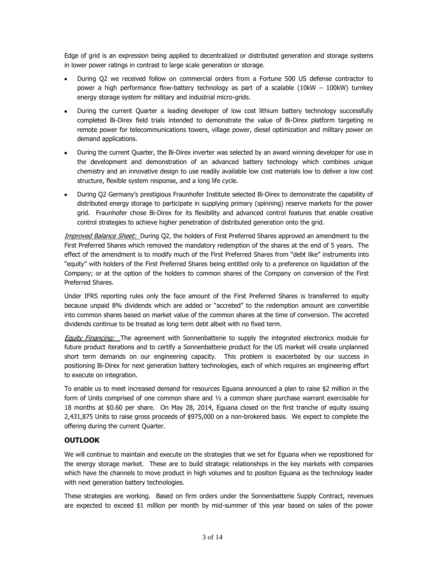Edge of grid is an expression being applied to decentralized or distributed generation and storage systems in lower power ratings in contrast to large scale generation or storage.

- During Q2 we received follow on commercial orders from a Fortune 500 US defense contractor to power a high performance flow-battery technology as part of a scalable (10kW – 100kW) turnkey energy storage system for military and industrial micro-grids.
- During the current Quarter a leading developer of low cost lithium battery technology successfully completed Bi-Direx field trials intended to demonstrate the value of Bi-Direx platform targeting re remote power for telecommunications towers, village power, diesel optimization and military power on demand applications.
- During the current Quarter, the Bi-Direx inverter was selected by an award winning developer for use in the development and demonstration of an advanced battery technology which combines unique chemistry and an innovative design to use readily available low cost materials low to deliver a low cost structure, flexible system response, and a long life cycle.
- During Q2 Germany's prestigious Fraunhofer Institute selected Bi-Direx to demonstrate the capability of distributed energy storage to participate in supplying primary (spinning) reserve markets for the power grid. Fraunhofer chose Bi-Direx for its flexibility and advanced control features that enable creative control strategies to achieve higher penetration of distributed generation onto the grid.

Improved Balance Sheet: During Q2, the holders of First Preferred Shares approved an amendment to the First Preferred Shares which removed the mandatory redemption of the shares at the end of 5 years. The effect of the amendment is to modify much of the First Preferred Shares from "debt like" instruments into "equity" with holders of the First Preferred Shares being entitled only to a preference on liquidation of the Company; or at the option of the holders to common shares of the Company on conversion of the First Preferred Shares.

Under IFRS reporting rules only the face amount of the First Preferred Shares is transferred to equity because unpaid 8% dividends which are added or "accreted" to the redemption amount are convertible into common shares based on market value of the common shares at the time of conversion. The accreted dividends continue to be treated as long term debt albeit with no fixed term.

**Equity Financing:** The agreement with Sonnenbatterie to supply the integrated electronics module for future product iterations and to certify a Sonnenbatterie product for the US market will create unplanned short term demands on our engineering capacity. This problem is exacerbated by our success in positioning Bi-Direx for next generation battery technologies, each of which requires an engineering effort to execute on integration.

To enable us to meet increased demand for resources Eguana announced a plan to raise \$2 million in the form of Units comprised of one common share and ½ a common share purchase warrant exercisable for 18 months at \$0.60 per share. On May 28, 2014, Eguana closed on the first tranche of equity issuing 2,431,875 Units to raise gross proceeds of \$975,000 on a non-brokered basis. We expect to complete the offering during the current Quarter.

# **OUTLOOK**

We will continue to maintain and execute on the strategies that we set for Eguana when we repositioned for the energy storage market. These are to build strategic relationships in the key markets with companies which have the channels to move product in high volumes and to position Eguana as the technology leader with next generation battery technologies.

These strategies are working. Based on firm orders under the Sonnenbatterie Supply Contract, revenues are expected to exceed \$1 million per month by mid-summer of this year based on sales of the power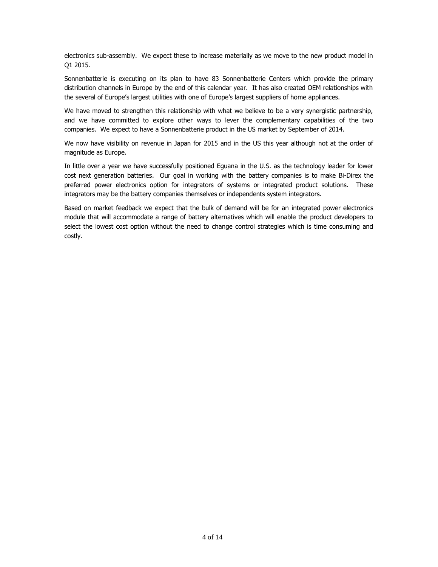electronics sub-assembly. We expect these to increase materially as we move to the new product model in Q1 2015.

Sonnenbatterie is executing on its plan to have 83 Sonnenbatterie Centers which provide the primary distribution channels in Europe by the end of this calendar year. It has also created OEM relationships with the several of Europe's largest utilities with one of Europe's largest suppliers of home appliances.

We have moved to strengthen this relationship with what we believe to be a very synergistic partnership, and we have committed to explore other ways to lever the complementary capabilities of the two companies. We expect to have a Sonnenbatterie product in the US market by September of 2014.

We now have visibility on revenue in Japan for 2015 and in the US this year although not at the order of magnitude as Europe.

In little over a year we have successfully positioned Eguana in the U.S. as the technology leader for lower cost next generation batteries. Our goal in working with the battery companies is to make Bi-Direx the preferred power electronics option for integrators of systems or integrated product solutions. These integrators may be the battery companies themselves or independents system integrators.

Based on market feedback we expect that the bulk of demand will be for an integrated power electronics module that will accommodate a range of battery alternatives which will enable the product developers to select the lowest cost option without the need to change control strategies which is time consuming and costly.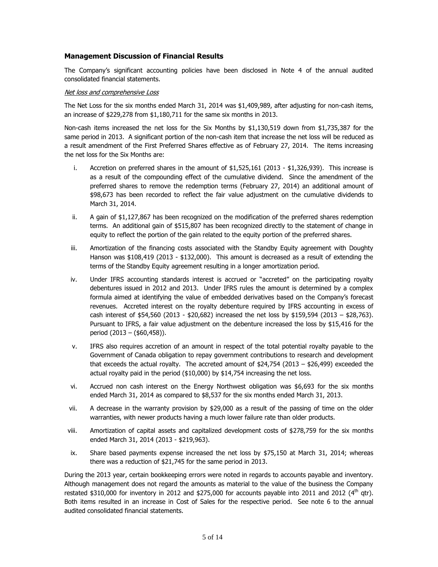## **Management Discussion of Financial Results**

The Company's significant accounting policies have been disclosed in Note 4 of the annual audited consolidated financial statements.

#### Net loss and comprehensive Loss

The Net Loss for the six months ended March 31, 2014 was \$1,409,989, after adjusting for non-cash items, an increase of \$229,278 from \$1,180,711 for the same six months in 2013.

Non-cash items increased the net loss for the Six Months by \$1,130,519 down from \$1,735,387 for the same period in 2013. A significant portion of the non-cash item that increase the net loss will be reduced as a result amendment of the First Preferred Shares effective as of February 27, 2014. The items increasing the net loss for the Six Months are:

- i. Accretion on preferred shares in the amount of \$1,525,161 (2013 \$1,326,939). This increase is as a result of the compounding effect of the cumulative dividend. Since the amendment of the preferred shares to remove the redemption terms (February 27, 2014) an additional amount of \$98,673 has been recorded to reflect the fair value adjustment on the cumulative dividends to March 31, 2014.
- ii. A gain of \$1,127,867 has been recognized on the modification of the preferred shares redemption terms. An additional gain of \$515,807 has been recognized directly to the statement of change in equity to reflect the portion of the gain related to the equity portion of the preferred shares.
- iii. Amortization of the financing costs associated with the Standby Equity agreement with Doughty Hanson was \$108,419 (2013 - \$132,000). This amount is decreased as a result of extending the terms of the Standby Equity agreement resulting in a longer amortization period.
- iv. Under IFRS accounting standards interest is accrued or "accreted" on the participating royalty debentures issued in 2012 and 2013. Under IFRS rules the amount is determined by a complex formula aimed at identifying the value of embedded derivatives based on the Company's forecast revenues. Accreted interest on the royalty debenture required by IFRS accounting in excess of cash interest of  $$54,560$  (2013 -  $$20,682)$  increased the net loss by  $$159,594$  (2013 -  $$28,763$ ). Pursuant to IFRS, a fair value adjustment on the debenture increased the loss by \$15,416 for the period (2013 – (\$60,458)).
- v. IFRS also requires accretion of an amount in respect of the total potential royalty payable to the Government of Canada obligation to repay government contributions to research and development that exceeds the actual royalty. The accreted amount of \$24,754 (2013 – \$26,499) exceeded the actual royalty paid in the period (\$10,000) by \$14,754 increasing the net loss.
- vi. Accrued non cash interest on the Energy Northwest obligation was \$6,693 for the six months ended March 31, 2014 as compared to \$8,537 for the six months ended March 31, 2013.
- vii. A decrease in the warranty provision by \$29,000 as a result of the passing of time on the older warranties, with newer products having a much lower failure rate than older products.
- viii. Amortization of capital assets and capitalized development costs of \$278,759 for the six months ended March 31, 2014 (2013 - \$219,963).
- ix. Share based payments expense increased the net loss by \$75,150 at March 31, 2014; whereas there was a reduction of \$21,745 for the same period in 2013.

During the 2013 year, certain bookkeeping errors were noted in regards to accounts payable and inventory. Although management does not regard the amounts as material to the value of the business the Company restated \$310,000 for inventory in 2012 and \$275,000 for accounts payable into 2011 and 2012 ( $4<sup>th</sup>$  qtr). Both items resulted in an increase in Cost of Sales for the respective period. See note 6 to the annual audited consolidated financial statements.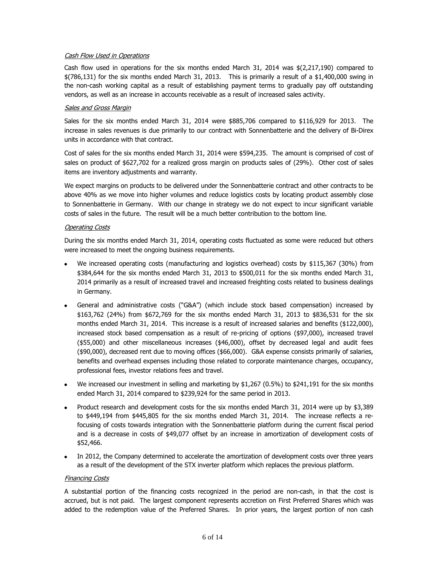## Cash Flow Used in Operations

Cash flow used in operations for the six months ended March 31, 2014 was  $\frac{1}{2}(2,217,190)$  compared to  $$$ (786,131) for the six months ended March 31, 2013. This is primarily a result of a  $$1,400,000$  swing in the non-cash working capital as a result of establishing payment terms to gradually pay off outstanding vendors, as well as an increase in accounts receivable as a result of increased sales activity.

## Sales and Gross Margin

Sales for the six months ended March 31, 2014 were \$885,706 compared to \$116,929 for 2013. The increase in sales revenues is due primarily to our contract with Sonnenbatterie and the delivery of Bi-Direx units in accordance with that contract.

Cost of sales for the six months ended March 31, 2014 were \$594,235. The amount is comprised of cost of sales on product of \$627,702 for a realized gross margin on products sales of (29%). Other cost of sales items are inventory adjustments and warranty.

We expect margins on products to be delivered under the Sonnenbatterie contract and other contracts to be above 40% as we move into higher volumes and reduce logistics costs by locating product assembly close to Sonnenbatterie in Germany. With our change in strategy we do not expect to incur significant variable costs of sales in the future. The result will be a much better contribution to the bottom line.

#### Operating Costs

During the six months ended March 31, 2014, operating costs fluctuated as some were reduced but others were increased to meet the ongoing business requirements.

- We increased operating costs (manufacturing and logistics overhead) costs by \$115,367 (30%) from \$384,644 for the six months ended March 31, 2013 to \$500,011 for the six months ended March 31, 2014 primarily as a result of increased travel and increased freighting costs related to business dealings in Germany.
- General and administrative costs ("G&A") (which include stock based compensation) increased by \$163,762 (24%) from \$672,769 for the six months ended March 31, 2013 to \$836,531 for the six months ended March 31, 2014. This increase is a result of increased salaries and benefits (\$122,000), increased stock based compensation as a result of re-pricing of options (\$97,000), increased travel (\$55,000) and other miscellaneous increases (\$46,000), offset by decreased legal and audit fees (\$90,000), decreased rent due to moving offices (\$66,000). G&A expense consists primarily of salaries, benefits and overhead expenses including those related to corporate maintenance charges, occupancy, professional fees, investor relations fees and travel.
- We increased our investment in selling and marketing by \$1,267 (0.5%) to \$241,191 for the six months  $\bullet$ ended March 31, 2014 compared to \$239,924 for the same period in 2013.
- Product research and development costs for the six months ended March 31, 2014 were up by \$3,389 to \$449,194 from \$445,805 for the six months ended March 31, 2014. The increase reflects a refocusing of costs towards integration with the Sonnenbatterie platform during the current fiscal period and is a decrease in costs of \$49,077 offset by an increase in amortization of development costs of \$52,466.
- In 2012, the Company determined to accelerate the amortization of development costs over three years as a result of the development of the STX inverter platform which replaces the previous platform.

#### Financing Costs

A substantial portion of the financing costs recognized in the period are non-cash, in that the cost is accrued, but is not paid. The largest component represents accretion on First Preferred Shares which was added to the redemption value of the Preferred Shares. In prior years, the largest portion of non cash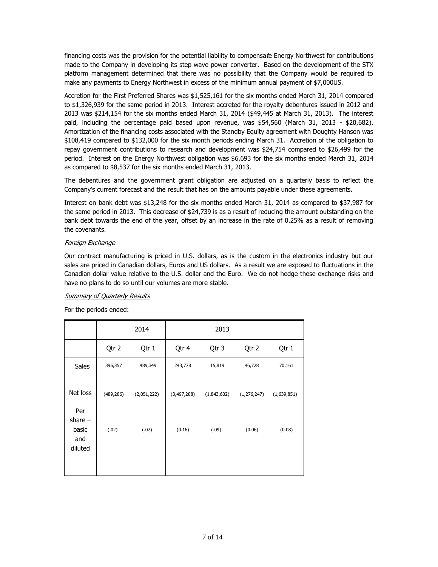financing costs was the provision for the potential liability to compensate Energy Northwest for contributions made to the Company in developing its step wave power converter. Based on the development of the STX platform management determined that there was no possibility that the Company would be required to make any payments to Energy Northwest in excess of the minimum annual payment of \$7,000US.

Accretion for the First Preferred Shares was \$1,525,161 for the six months ended March 31, 2014 compared to \$1,326,939 for the same period in 2013. Interest accreted for the royalty debentures issued in 2012 and 2013 was \$214,154 for the six months ended March 31, 2014 (\$49,445 at March 31, 2013). The interest paid, including the percentage paid based upon revenue, was \$54,560 (March 31, 2013 - \$20,682). Amortization of the financing costs associated with the Standby Equity agreement with Doughty Hanson was \$108,419 compared to \$132,000 for the six month periods ending March 31. Accretion of the obligation to repay government contributions to research and development was \$24,754 compared to \$26,499 for the period. Interest on the Energy Northwest obligation was \$6,693 for the six months ended March 31, 2014 as compared to \$8,537 for the six months ended March 31, 2013.

The debentures and the government grant obligation are adjusted on a quarterly basis to reflect the Company's current forecast and the result that has on the amounts payable under these agreements.

Interest on bank debt was \$13,248 for the six months ended March 31, 2014 as compared to \$37,987 for the same period in 2013. This decrease of \$24,739 is as a result of reducing the amount outstanding on the bank debt towards the end of the year, offset by an increase in the rate of 0.25% as a result of removing the covenants.

## Foreign Exchange

Our contract manufacturing is priced in U.S. dollars, as is the custom in the electronics industry but our sales are priced in Canadian dollars, Euros and US dollars. As a result we are exposed to fluctuations in the Canadian dollar value relative to the U.S. dollar and the Euro. We do not hedge these exchange risks and have no plans to do so until our volumes are more stable.

## Summary of Quarterly Results

For the periods ended:

|                              |            | 2014        |             | 2013        |               |             |
|------------------------------|------------|-------------|-------------|-------------|---------------|-------------|
|                              | Qtr 2      | Qtr 1       | Qtr 4       | Qtr 3       | Qtr 2         | Qtr 1       |
| Sales                        | 396,357    | 489,349     | 243,778     | 15,819      | 46,728        | 70,161      |
| Net loss<br>Per<br>share $-$ | (489, 286) | (2,051,222) | (3,497,288) | (1,843,602) | (1, 276, 247) | (1,639,851) |
| basic<br>and<br>diluted      | (.02)      | (.07)       | (0.16)      | (.09)       | (0.06)        | (0.08)      |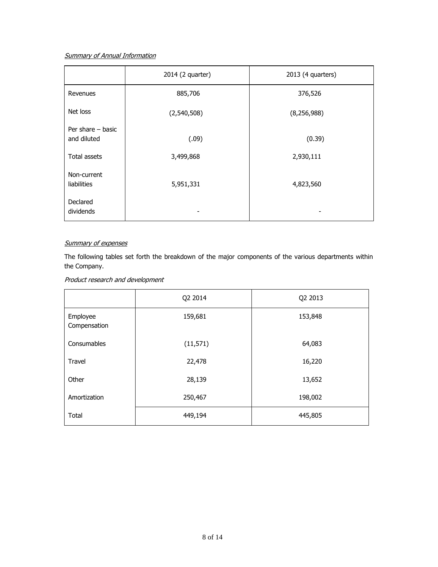# **Summary of Annual Information**

|                                    | 2014 (2 quarter) | 2013 (4 quarters) |
|------------------------------------|------------------|-------------------|
| Revenues                           | 885,706          | 376,526           |
| Net loss                           | (2,540,508)      | (8, 256, 988)     |
| Per share $-$ basic<br>and diluted | (.09)            | (0.39)            |
| Total assets                       | 3,499,868        | 2,930,111         |
| Non-current<br>liabilities         | 5,951,331        | 4,823,560         |
| Declared<br>dividends              |                  |                   |

## Summary of expenses

The following tables set forth the breakdown of the major components of the various departments within the Company.

## Product research and development

|                          | Q2 2014   | Q2 2013 |
|--------------------------|-----------|---------|
| Employee<br>Compensation | 159,681   | 153,848 |
| Consumables              | (11, 571) | 64,083  |
| <b>Travel</b>            | 22,478    | 16,220  |
| Other                    | 28,139    | 13,652  |
| Amortization             | 250,467   | 198,002 |
| Total                    | 449,194   | 445,805 |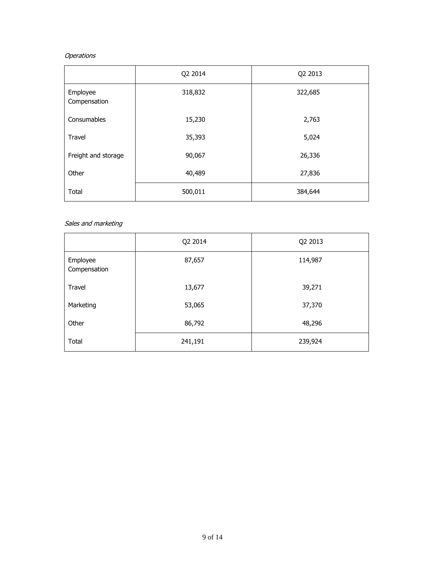# **Operations**

|                          | Q2 2014 | Q2 2013 |
|--------------------------|---------|---------|
| Employee<br>Compensation | 318,832 | 322,685 |
| Consumables              | 15,230  | 2,763   |
| Travel                   | 35,393  | 5,024   |
| Freight and storage      | 90,067  | 26,336  |
| Other                    | 40,489  | 27,836  |
| Total                    | 500,011 | 384,644 |

## Sales and marketing

|                          | Q2 2014 | Q2 2013 |
|--------------------------|---------|---------|
| Employee<br>Compensation | 87,657  | 114,987 |
| Travel                   | 13,677  | 39,271  |
| Marketing                | 53,065  | 37,370  |
| Other                    | 86,792  | 48,296  |
| Total                    | 241,191 | 239,924 |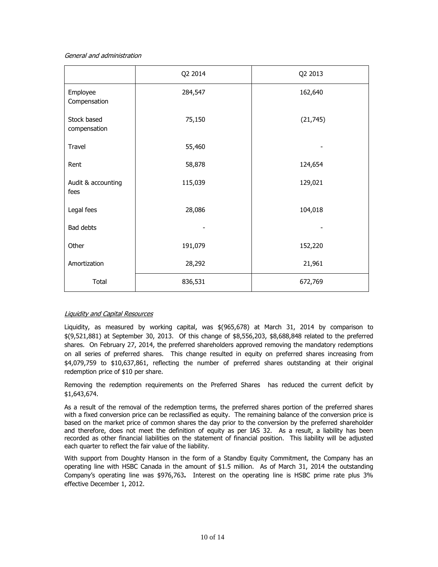#### General and administration

|                             | Q2 2014 | Q2 2013   |
|-----------------------------|---------|-----------|
| Employee<br>Compensation    | 284,547 | 162,640   |
| Stock based<br>compensation | 75,150  | (21, 745) |
| Travel                      | 55,460  |           |
| Rent                        | 58,878  | 124,654   |
| Audit & accounting<br>fees  | 115,039 | 129,021   |
| Legal fees                  | 28,086  | 104,018   |
| Bad debts                   |         |           |
| Other                       | 191,079 | 152,220   |
| Amortization                | 28,292  | 21,961    |
| Total                       | 836,531 | 672,769   |

## Liquidity and Capital Resources

Liquidity, as measured by working capital, was \$(965,678) at March 31, 2014 by comparison to \$(9,521,881) at September 30, 2013. Of this change of \$8,556,203, \$8,688,848 related to the preferred shares. On February 27, 2014, the preferred shareholders approved removing the mandatory redemptions on all series of preferred shares. This change resulted in equity on preferred shares increasing from \$4,079,759 to \$10,637,861, reflecting the number of preferred shares outstanding at their original redemption price of \$10 per share.

Removing the redemption requirements on the Preferred Shares has reduced the current deficit by \$1,643,674.

As a result of the removal of the redemption terms, the preferred shares portion of the preferred shares with a fixed conversion price can be reclassified as equity. The remaining balance of the conversion price is based on the market price of common shares the day prior to the conversion by the preferred shareholder and therefore, does not meet the definition of equity as per IAS 32. As a result, a liability has been recorded as other financial liabilities on the statement of financial position. This liability will be adjusted each quarter to reflect the fair value of the liability.

With support from Doughty Hanson in the form of a Standby Equity Commitment, the Company has an operating line with HSBC Canada in the amount of \$1.5 million. As of March 31, 2014 the outstanding Company's operating line was \$976,763**.** Interest on the operating line is HSBC prime rate plus 3% effective December 1, 2012.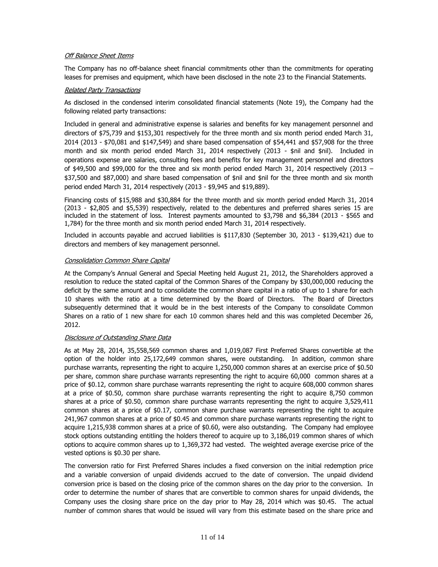## Off Balance Sheet Items

The Company has no off-balance sheet financial commitments other than the commitments for operating leases for premises and equipment, which have been disclosed in the note 23 to the Financial Statements.

#### Related Party Transactions

As disclosed in the condensed interim consolidated financial statements (Note 19), the Company had the following related party transactions:

Included in general and administrative expense is salaries and benefits for key management personnel and directors of \$75,739 and \$153,301 respectively for the three month and six month period ended March 31, 2014 (2013 - \$70,081 and \$147,549) and share based compensation of \$54,441 and \$57,908 for the three month and six month period ended March 31, 2014 respectively (2013 - \$nil and \$nil). Included in operations expense are salaries, consulting fees and benefits for key management personnel and directors of \$49,500 and \$99,000 for the three and six month period ended March 31, 2014 respectively (2013 – \$37,500 and \$87,000) and share based compensation of \$nil and \$nil for the three month and six month period ended March 31, 2014 respectively (2013 - \$9,945 and \$19,889).

Financing costs of \$15,988 and \$30,884 for the three month and six month period ended March 31, 2014 (2013 - \$2,805 and \$5,539) respectively, related to the debentures and preferred shares series 15 are included in the statement of loss. Interest payments amounted to \$3,798 and \$6,384 (2013 - \$565 and 1,784) for the three month and six month period ended March 31, 2014 respectively.

Included in accounts payable and accrued liabilities is \$117,830 (September 30, 2013 - \$139,421) due to directors and members of key management personnel.

#### Consolidation Common Share Capital

At the Company's Annual General and Special Meeting held August 21, 2012, the Shareholders approved a resolution to reduce the stated capital of the Common Shares of the Company by \$30,000,000 reducing the deficit by the same amount and to consolidate the common share capital in a ratio of up to 1 share for each 10 shares with the ratio at a time determined by the Board of Directors. The Board of Directors subsequently determined that it would be in the best interests of the Company to consolidate Common Shares on a ratio of 1 new share for each 10 common shares held and this was completed December 26, 2012.

#### Disclosure of Outstanding Share Data

As at May 28, 2014, 35,558,569 common shares and 1,019,087 First Preferred Shares convertible at the option of the holder into 25,172,649 common shares, were outstanding. In addition, common share purchase warrants, representing the right to acquire 1,250,000 common shares at an exercise price of \$0.50 per share, common share purchase warrants representing the right to acquire 60,000 common shares at a price of \$0.12, common share purchase warrants representing the right to acquire 608,000 common shares at a price of \$0.50, common share purchase warrants representing the right to acquire 8,750 common shares at a price of \$0.50, common share purchase warrants representing the right to acquire 3,529,411 common shares at a price of \$0.17, common share purchase warrants representing the right to acquire 241,967 common shares at a price of \$0.45 and common share purchase warrants representing the right to acquire 1,215,938 common shares at a price of \$0.60, were also outstanding. The Company had employee stock options outstanding entitling the holders thereof to acquire up to 3,186,019 common shares of which options to acquire common shares up to 1,369,372 had vested. The weighted average exercise price of the vested options is \$0.30 per share.

The conversion ratio for First Preferred Shares includes a fixed conversion on the initial redemption price and a variable conversion of unpaid dividends accrued to the date of conversion. The unpaid dividend conversion price is based on the closing price of the common shares on the day prior to the conversion. In order to determine the number of shares that are convertible to common shares for unpaid dividends, the Company uses the closing share price on the day prior to May 28, 2014 which was \$0.45. The actual number of common shares that would be issued will vary from this estimate based on the share price and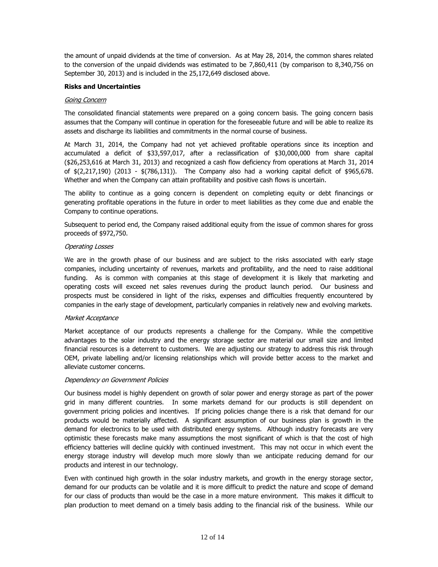the amount of unpaid dividends at the time of conversion. As at May 28, 2014, the common shares related to the conversion of the unpaid dividends was estimated to be 7,860,411 (by comparison to 8,340,756 on September 30, 2013) and is included in the 25,172,649 disclosed above.

## **Risks and Uncertainties**

## Going Concern

The consolidated financial statements were prepared on a going concern basis. The going concern basis assumes that the Company will continue in operation for the foreseeable future and will be able to realize its assets and discharge its liabilities and commitments in the normal course of business.

At March 31, 2014, the Company had not yet achieved profitable operations since its inception and accumulated a deficit of \$33,597,017, after a reclassification of \$30,000,000 from share capital (\$26,253,616 at March 31, 2013) and recognized a cash flow deficiency from operations at March 31, 2014 of \$(2,217,190) (2013 - \$(786,131)). The Company also had a working capital deficit of \$965,678. Whether and when the Company can attain profitability and positive cash flows is uncertain.

The ability to continue as a going concern is dependent on completing equity or debt financings or generating profitable operations in the future in order to meet liabilities as they come due and enable the Company to continue operations.

Subsequent to period end, the Company raised additional equity from the issue of common shares for gross proceeds of \$972,750.

#### Operating Losses

We are in the growth phase of our business and are subject to the risks associated with early stage companies, including uncertainty of revenues, markets and profitability, and the need to raise additional funding. As is common with companies at this stage of development it is likely that marketing and operating costs will exceed net sales revenues during the product launch period. Our business and prospects must be considered in light of the risks, expenses and difficulties frequently encountered by companies in the early stage of development, particularly companies in relatively new and evolving markets.

#### Market Acceptance

Market acceptance of our products represents a challenge for the Company. While the competitive advantages to the solar industry and the energy storage sector are material our small size and limited financial resources is a deterrent to customers. We are adjusting our strategy to address this risk through OEM, private labelling and/or licensing relationships which will provide better access to the market and alleviate customer concerns.

#### Dependency on Government Policies

Our business model is highly dependent on growth of solar power and energy storage as part of the power grid in many different countries. In some markets demand for our products is still dependent on government pricing policies and incentives. If pricing policies change there is a risk that demand for our products would be materially affected. A significant assumption of our business plan is growth in the demand for electronics to be used with distributed energy systems. Although industry forecasts are very optimistic these forecasts make many assumptions the most significant of which is that the cost of high efficiency batteries will decline quickly with continued investment. This may not occur in which event the energy storage industry will develop much more slowly than we anticipate reducing demand for our products and interest in our technology.

Even with continued high growth in the solar industry markets, and growth in the energy storage sector, demand for our products can be volatile and it is more difficult to predict the nature and scope of demand for our class of products than would be the case in a more mature environment. This makes it difficult to plan production to meet demand on a timely basis adding to the financial risk of the business. While our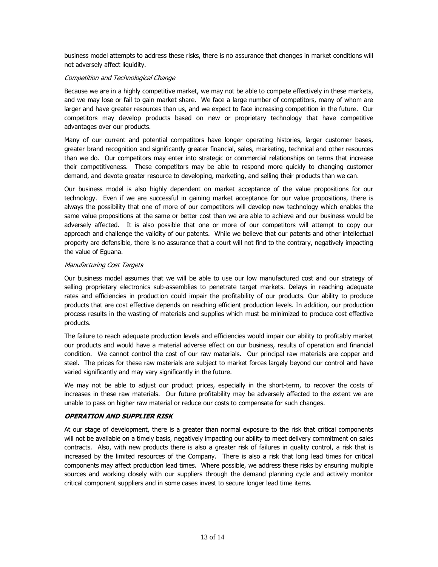business model attempts to address these risks, there is no assurance that changes in market conditions will not adversely affect liquidity.

## Competition and Technological Change

Because we are in a highly competitive market, we may not be able to compete effectively in these markets, and we may lose or fail to gain market share. We face a large number of competitors, many of whom are larger and have greater resources than us, and we expect to face increasing competition in the future. Our competitors may develop products based on new or proprietary technology that have competitive advantages over our products.

Many of our current and potential competitors have longer operating histories, larger customer bases, greater brand recognition and significantly greater financial, sales, marketing, technical and other resources than we do. Our competitors may enter into strategic or commercial relationships on terms that increase their competitiveness. These competitors may be able to respond more quickly to changing customer demand, and devote greater resource to developing, marketing, and selling their products than we can.

Our business model is also highly dependent on market acceptance of the value propositions for our technology. Even if we are successful in gaining market acceptance for our value propositions, there is always the possibility that one of more of our competitors will develop new technology which enables the same value propositions at the same or better cost than we are able to achieve and our business would be adversely affected. It is also possible that one or more of our competitors will attempt to copy our approach and challenge the validity of our patents. While we believe that our patents and other intellectual property are defensible, there is no assurance that a court will not find to the contrary, negatively impacting the value of Eguana.

#### Manufacturing Cost Targets

Our business model assumes that we will be able to use our low manufactured cost and our strategy of selling proprietary electronics sub-assemblies to penetrate target markets. Delays in reaching adequate rates and efficiencies in production could impair the profitability of our products. Our ability to produce products that are cost effective depends on reaching efficient production levels. In addition, our production process results in the wasting of materials and supplies which must be minimized to produce cost effective products.

The failure to reach adequate production levels and efficiencies would impair our ability to profitably market our products and would have a material adverse effect on our business, results of operation and financial condition. We cannot control the cost of our raw materials. Our principal raw materials are copper and steel. The prices for these raw materials are subject to market forces largely beyond our control and have varied significantly and may vary significantly in the future.

We may not be able to adjust our product prices, especially in the short-term, to recover the costs of increases in these raw materials. Our future profitability may be adversely affected to the extent we are unable to pass on higher raw material or reduce our costs to compensate for such changes.

## **OPERATION AND SUPPLIER RISK**

At our stage of development, there is a greater than normal exposure to the risk that critical components will not be available on a timely basis, negatively impacting our ability to meet delivery commitment on sales contracts. Also, with new products there is also a greater risk of failures in quality control, a risk that is increased by the limited resources of the Company. There is also a risk that long lead times for critical components may affect production lead times. Where possible, we address these risks by ensuring multiple sources and working closely with our suppliers through the demand planning cycle and actively monitor critical component suppliers and in some cases invest to secure longer lead time items.